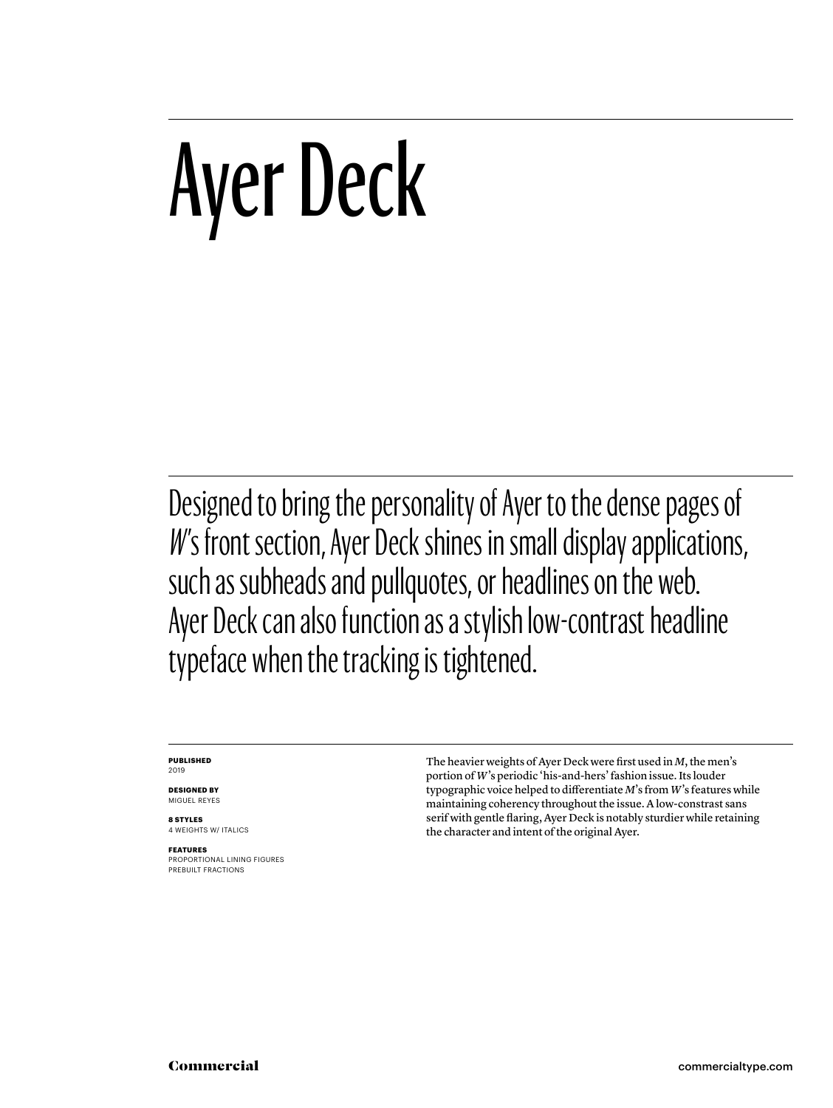# Ayer Deck

Designed to bring the personality of Ayer to the dense pages of W's front section, Ayer Deck shines in small display applications, such as subheads and pullquotes, or headlines on the web. Ayer Deck can also function as a stylish low-contrast headline typeface when the tracking is tightened.

#### **PUBLISHED** 2019

**DESIGNED BY** MIGUEL REYES

**8 STYLES** 4 WEIGHTS W/ ITALICS

**FEATURES** PROPORTIONAL LINING FIGURES PREBUILT FRACTIONS

The heavier weights of Ayer Deck were first used in *M*, the men's portion of *W*'s periodic 'his-and-hers' fashion issue. Its louder typographic voice helped to differentiate *M*'s from *W*'s features while maintaining coherency throughout the issue. A low-constrast sans serif with gentle flaring, Ayer Deck is notably sturdier while retaining the character and intent of the original Ayer.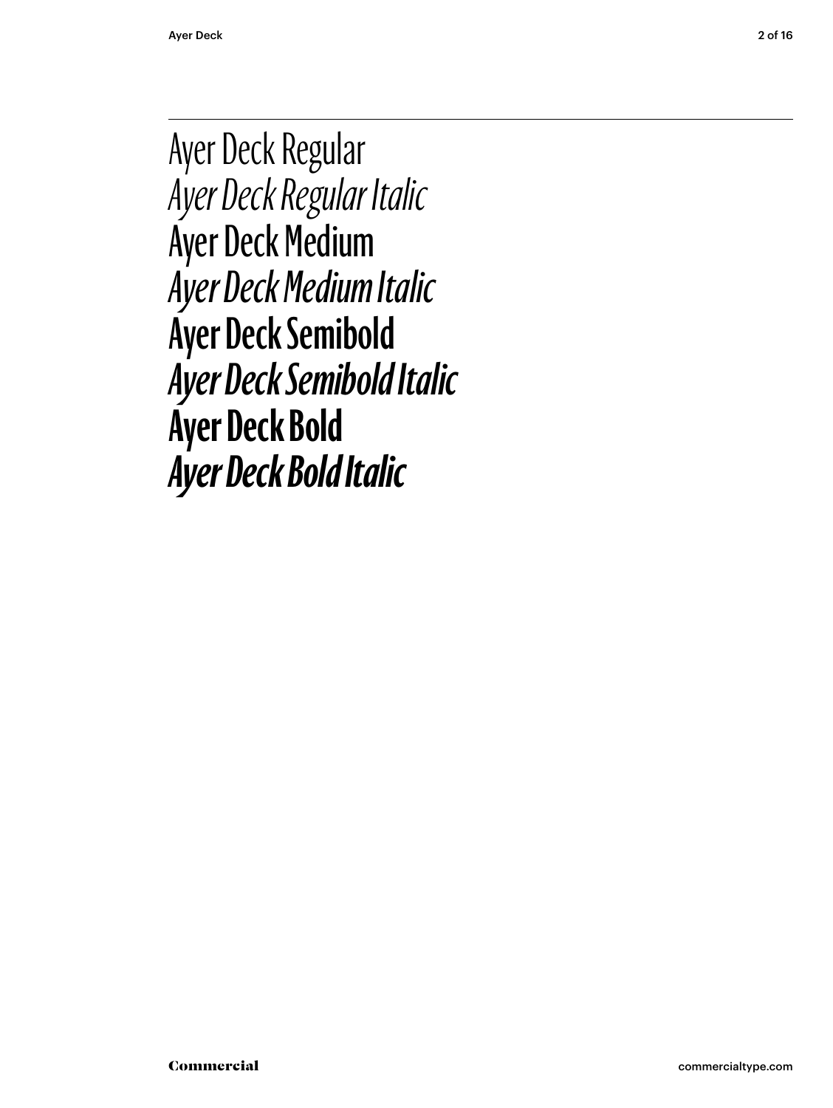Ayer Deck Regular *Ayer Deck Regular Italic* Ayer Deck Medium *Ayer Deck Medium Italic* **Ayer Deck Semibold** *Ayer Deck Semibold Italic* **Ayer Deck Bold** *Ayer Deck Bold Italic*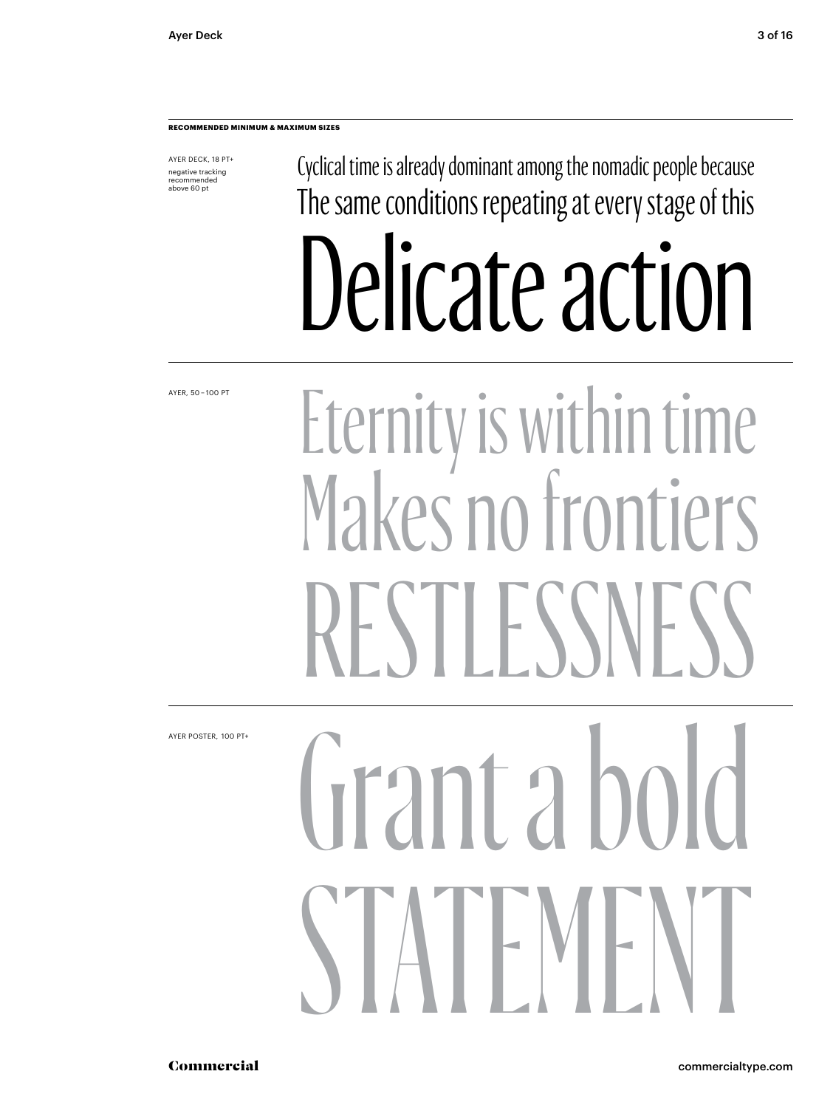AYER DECK, 18 PT+ negative tracking recommended above 60 pt

Cyclical time is already dominant among the nomadic people because The same conditions repeating at every stage of this Delicate action

AYER, 50 – 100 PT

# Eternity is within time Makes no frontiers I F SS

AYER POSTER,  100 PT+

# Grant a bo STATEMENT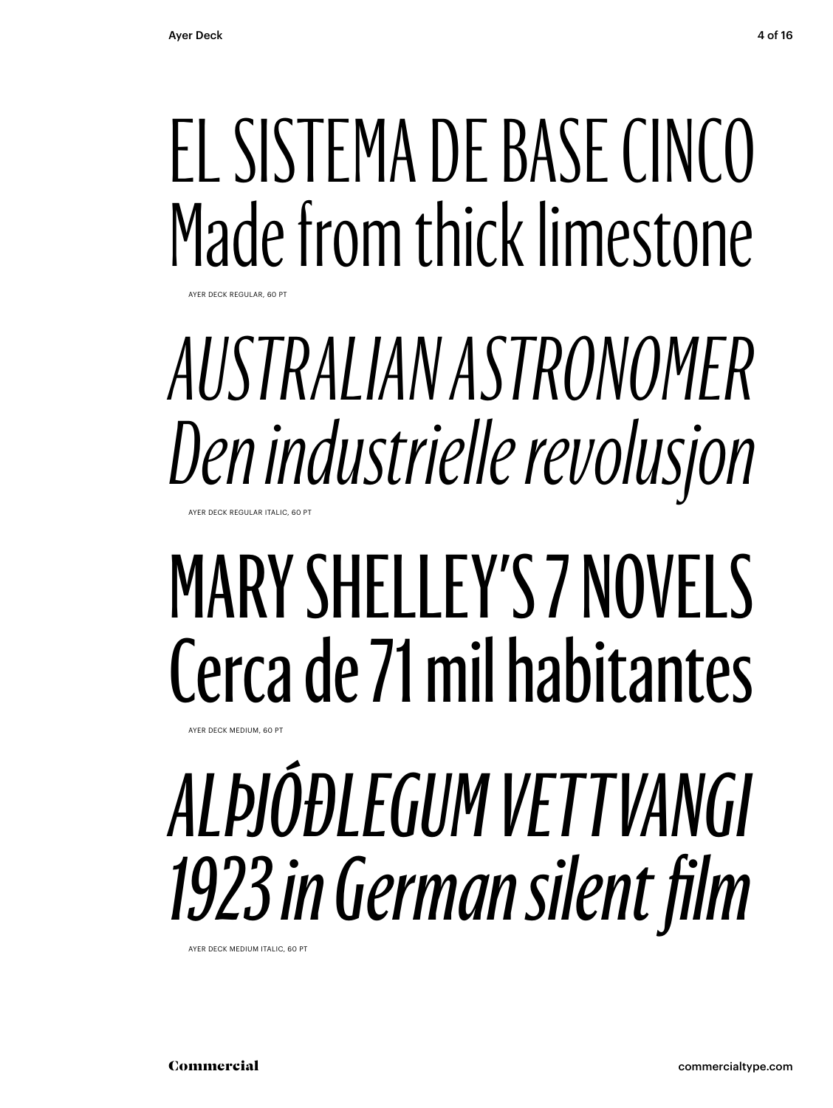# EL SISTEMA DE BASE CINCO Made from thick limestone

AYER DECK REGULAR, 60 PT

### *AUSTRALIAN ASTRONOMER Den industrielle revolusjon* AYER DECK REGULAR ITALIC, 60 PT

# MARY SHELLEY'S 7 NOVELS Cerca de 71 mil habitantes

AYER DECK MEDIUM, 60 PT

# *ALÞJÓÐLEGUM VETTVANGI 1923 in German silent film*

AYER DECK MEDIUM ITALIC, 60 PT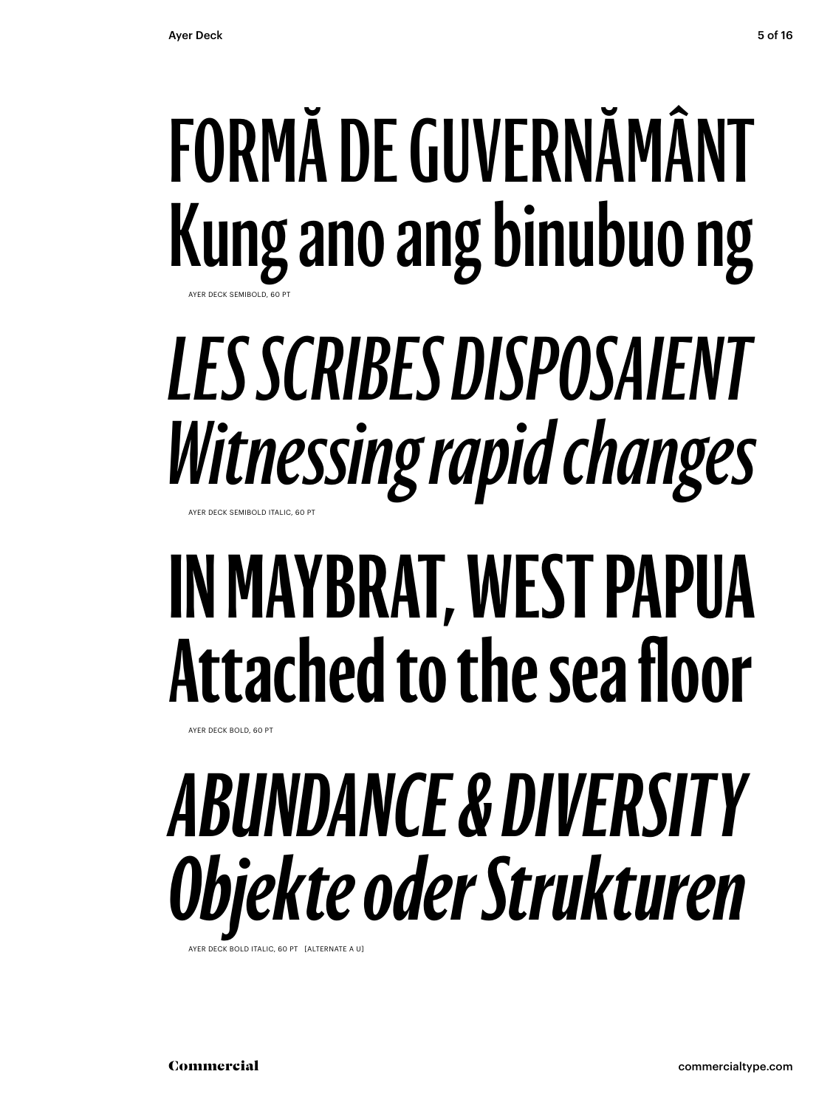## **FORMĂ DE GUVERNĂMÂNT Kung ano ang binubuo ng** AYER DECK SEMIBOLD, 60 PT

### *LES SCRIBES DISPOSAIENT Witnessing rapid changes* AYER DECK SEMIBOLD ITALIC, 60 PT

# **IN MAYBRAT, WEST PAPUA Attached to the sea floor**

AYER DECK BOLD, 60 PT

# *ABUNDANCE & DIVERSITY Objekte oder Strukturen*

AYER DECK BOLD ITALIC, 60 PT [ALTERNATE A U]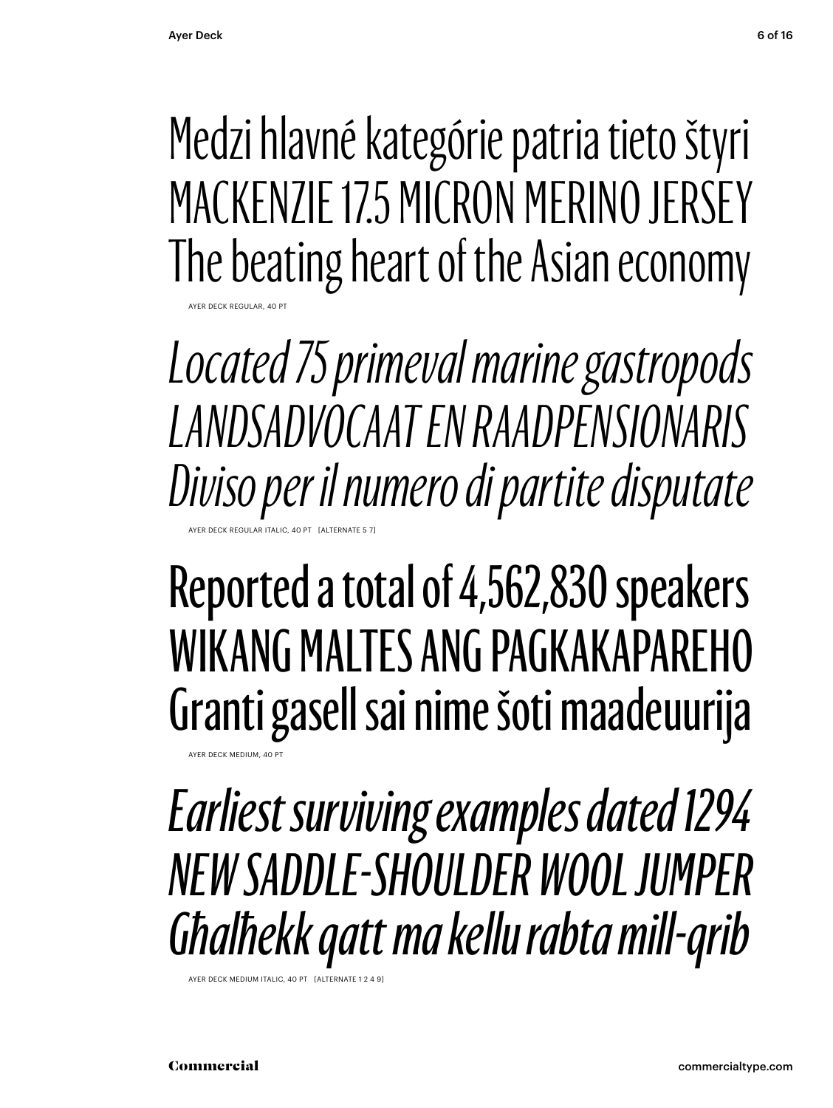Medzi hlavné kategórie patria tieto štyri MACKENZIE 17.5 MICRON MERINO JERSEY The beating heart of the Asian economy

*Located 75 primeval marine gastropods LANDSADVOCAAT EN RAADPENSIONARIS Diviso per il numero di partite disputate* AYER DECK REGULAR ITALIC, 40 PT [ALTERNATE 5 7]

### Reported a total of 4,562,830 speakers WIKANG MALTES ANG PAGKAKAPAREHO Granti gasell sai nime šoti maadeuurija

AYER DECK MEDIUM, 40 P

AYER DECK REGULAR, 40 PT

*Earliest surviving examples dated 1294 NEW SADDLE-SHOULDER WOOL JUMPER Għalħekk qatt ma kellu rabta mill-qrib*

AYER DECK MEDIUM ITALIC, 40 PT [ALTERNATI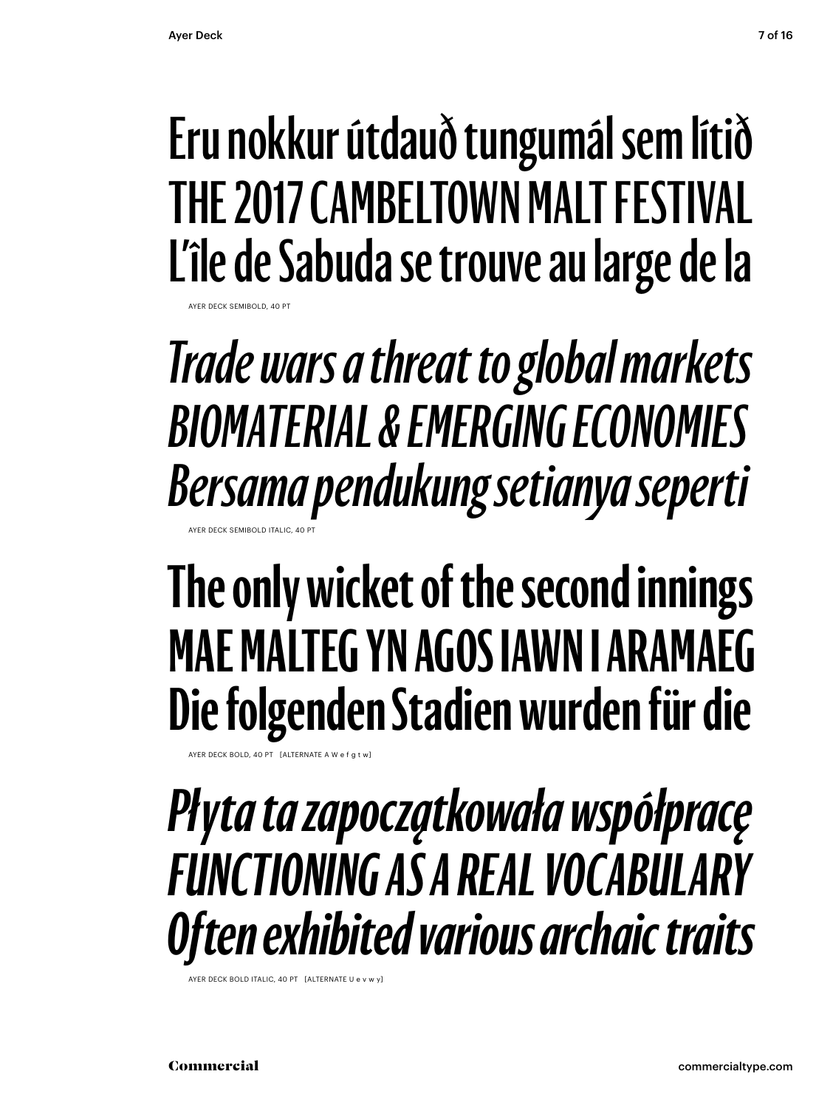AYER DECK SEMIBOLD, 40 PT

### **Eru nokkur útdauð tungumál sem lítið THE 2017 CAMBELTOWN MALT FESTIVAL L'île de Sabuda se trouve au large de la**

*Trade wars a threat to global markets BIOMATERIAL & EMERGING ECONOMIES Bersama pendukung setianya seperti* AYER DECK SEMIBOLD ITALIC, 40

### **The only wicket of the second innings MAE MALTEG YN AGOS IAWN I ARAMAEG Die folgenden Stadien wurden für die**

AYER DECK BOLD, 40 PT  $\left[$  ALTERNATE A W e f g

*Płyta ta zapoczątkowała współpracę FUNCTIONING AS A REAL VOCABULARY Often exhibited various archaic traits*

AYER DECK BOLD ITALIC, 40 PT [ALTERNATE U e v w y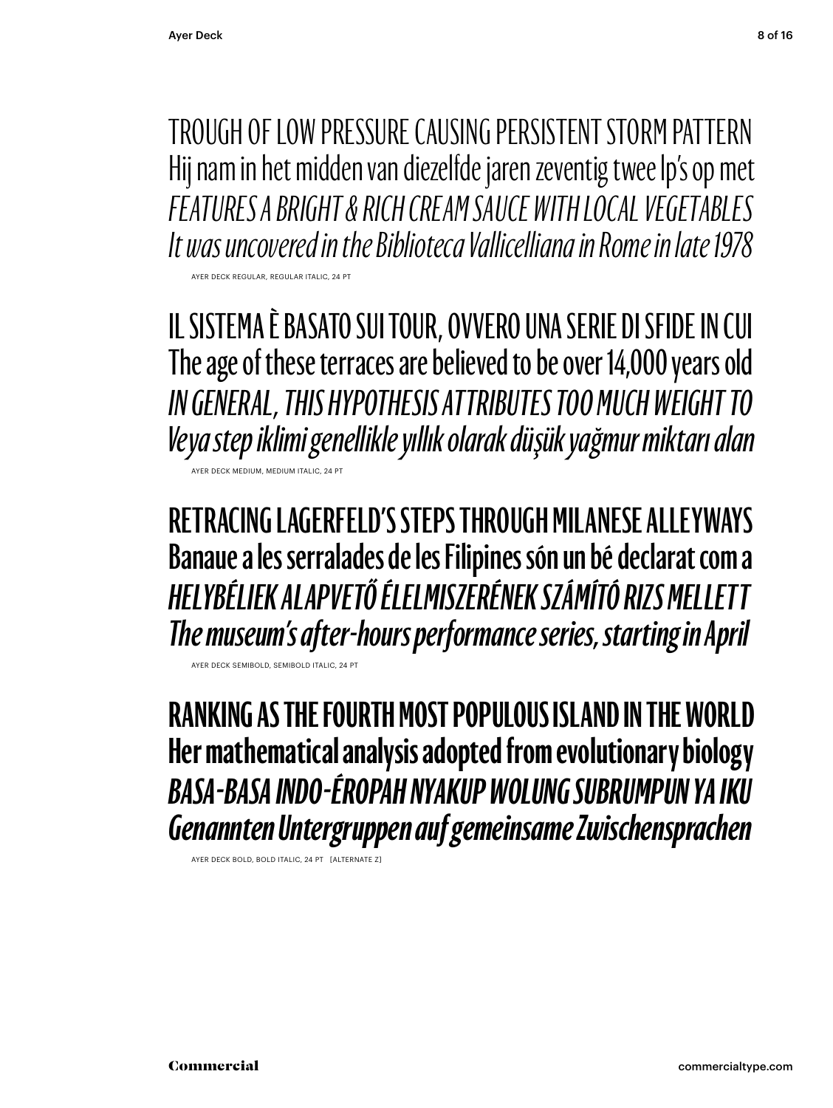TROUGH OF LOW PRESSURE CAUSING PERSISTENT STORM PAT TERN Hij nam in het midden van diezelfde jaren zeventig twee lp's op met *FEATURES A BRIGHT & RICH CREAM SAUCE WITH LOCAL VEGETABLES It was uncovered in the Biblioteca Vallicelliana in Rome in late 1978* AYER DECK REGULAR, REGULAR ITALIC, 24 PT

IL SISTEMA È BASATO SUI TOUR, OVVERO UNA SERIE DI SFIDE IN CUI The age of these terraces are believed to be over 14,000 years old *IN GENERAL, THIS HYPOTHESIS ATTRIBUTES TOO MUCH WEIGHT TO Veya step iklimi genellikle yıllık olarak düşük yağmur miktarı alan* AYER DECK MEDIUM, MEDIUM ITALIC, 24 PT

**RETRACING LAGERFELD'S STEPS THROUGH MILANESE ALLEYWAYS Banaue a les serralades de les Filipines són un bé declarat com a** *HELYBÉLIEK ALAPVETŐ ÉLELMISZERÉNEK SZÁMÍTÓ RIZS MELLETT The museum's after-hours performance series, starting in April*

AYER DECK SEMIBOLD, SEMIBOLD ITALIC, 24 P

**RANKING AS THE FOURTH MOST POPULOUS ISLAND IN THE WORLD Her mathematical analysis adopted from evolutionary biology** *BASA-BASA INDO-ÉROPAH NYAKUP WOLUNG SUBRUMPUN YA IKU Genannten Untergruppen auf gemeinsame Zwischensprachen*

AYER DECK BOLD, BOLD ITALIC, 24 PT [ALTERNATE Z]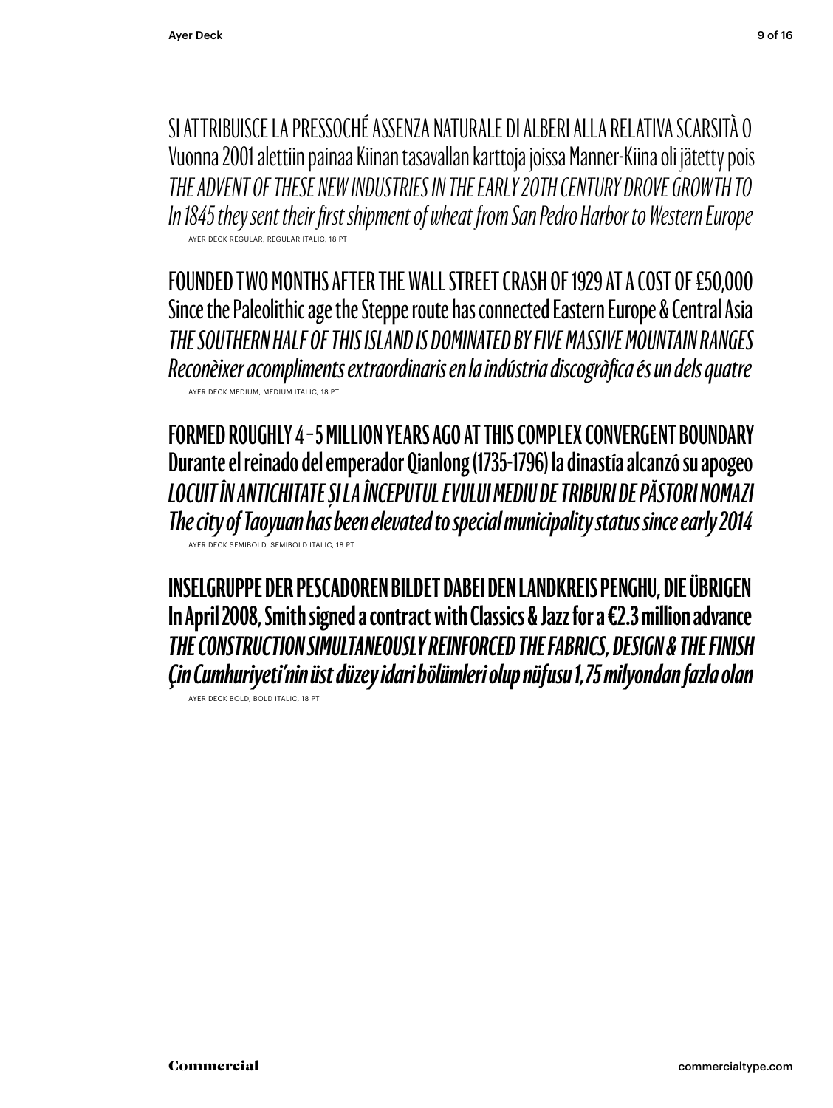SI AT TRIBUISCE LA PRESSOCHÉ ASSENZA NATURALE DI ALBERI ALLA RELATIVA SCARSITÀ O Vuonna 2001 alettiin painaa Kiinan tasavallan karttoja joissa Manner-Kiina oli jätetty pois *THE ADVENT OF THESE NEW INDUSTRIES IN THE EARLY 20TH CENTURY DROVE GROWTH TO In 1845 they sent their first shipment of wheat from San Pedro Harbor to Western Europe* AYER DECK REGULAR, REGULAR ITALIC, 18 PT

FOUNDED TWO MONTHS AFTER THE WALL STREET CRASH OF 1929 AT A COST OF £50,000 Since the Paleolithic age the Steppe route has connected Eastern Europe & Central Asia *THE SOUTHERN HALF OF THIS ISLAND IS DOMINATED BY FIVE MASSIVE MOUNTAIN RANGES Reconèixer acompliments extraordinaris en la indústria discogràfica és un dels quatre* AYER DECK MEDIUM, MEDIUM ITALIC, 18 PT

**FORMED ROUGHLY 4 – 5 MILLION YEARS AGO AT THIS COMPLEX CONVERGENT BOUNDARY Durante el reinado del emperador Qianlong (1735-1796) la dinastía alcanzó su apogeo** *LOCUIT ÎN ANTICHITATE ȘI LA ÎNCEPUTUL EVULUI MEDIU DE TRIBURI DE PĂSTORI NOMAZI The city of Taoyuan has been elevated to special municipality status since early 2014*  AYER DECK SEMIBOLD, SEMIBOLD ITALIC, 18 PT

**INSELGRUPPE DER PESCADOREN BILDET DABEI DEN LANDKREIS PENGHU, DIE ÜBRIGEN In April 2008, Smith signed a contract with Classics & Jazz for a €2.3 million advance** *THE CONSTRUCTION SIMULTANEOUSLY REINFORCED THE FABRICS, DESIGN & THE FINISH Çin Cumhuriyeti'nin üst düzey idari bölümleri olup nüfusu 1,75 milyondan fazla olan*

AYER DECK BOLD, BOLD ITALIC, 18 PT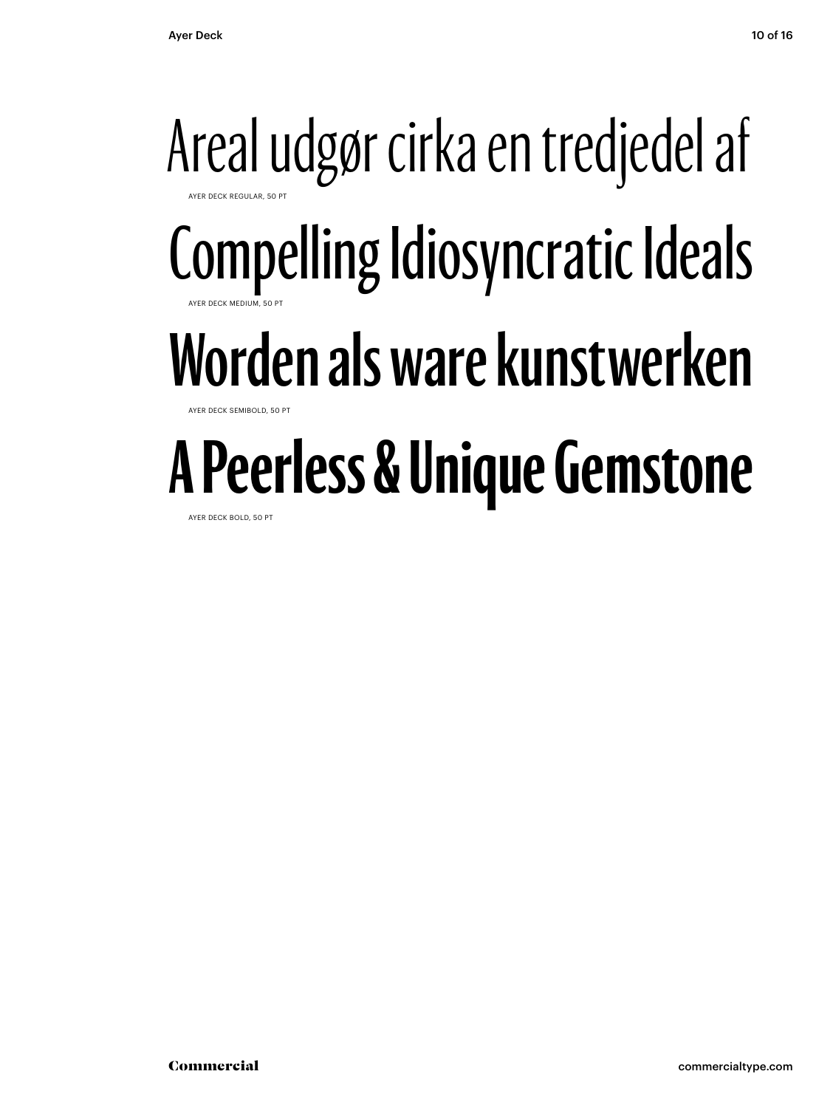### Areal udgør cirka en tredjedel af AYER DECK REGULAR, 50 PT Compelling Idiosyncratic Ideals AYER DECK MEDIUM, 50 PT **Worden als ware kunstwerken** AYER DECK SEMIBOLD, 50 PT **A Peerless & Unique Gemstone**

AYER DECK BOLD, 50 PT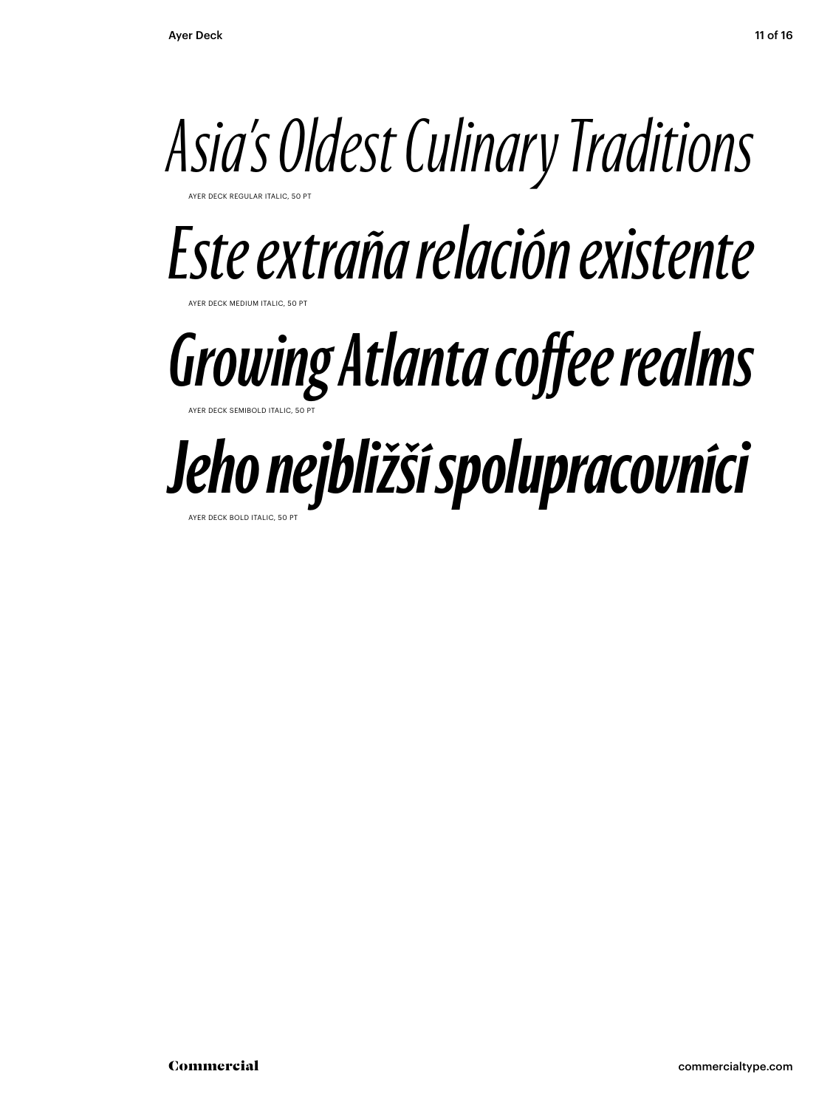# *Asia's Oldest Culinary Traditions*

AYER DECK REGULAR ITALIC, 50 PT

*Este extraña relación existente*

**DECK MEDIUM ITALIC, 50** 

### *Growing Atlanta coffee realms* AYER DECK SEMIBOLD ITALIC, 50 PT

# *Jeho nejbližší spolupracovníci*

AYER DECK BOLD ITALIC, 50 PT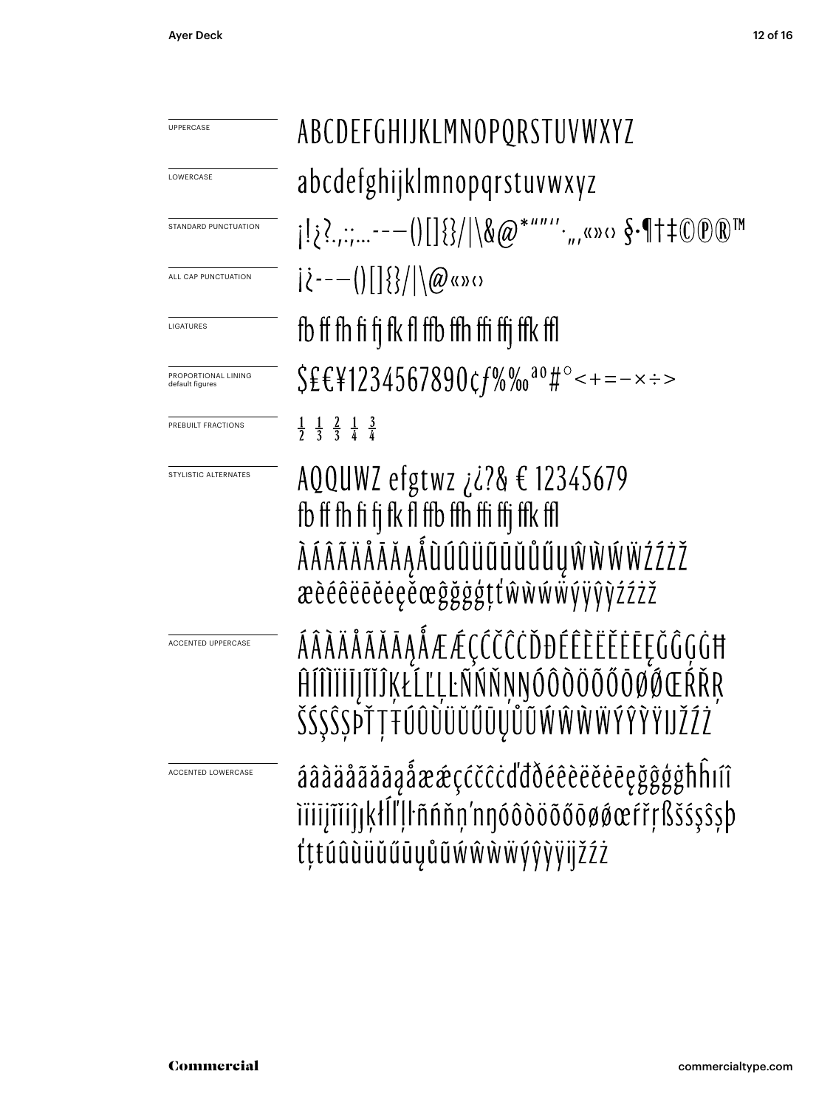| UPPERCASE                              | ABCDEFGHIJKLMNOPQRSTUVWXYZ                                                                                                                             |
|----------------------------------------|--------------------------------------------------------------------------------------------------------------------------------------------------------|
| LOWERCASE                              | abcdefghijklmnopqrstuvwxyz                                                                                                                             |
| STANDARD PUNCTUATION                   | $i_{1}$ ; ?;  ---()[] {}/ \&@*""'',,,«»<> $S$ -¶+ $\oplus$ $\oplus$ $\mathbb{R}$ "                                                                     |
| ALL CAP PUNCTUATION                    | $ \zeta^{---}( []\{\} / \langle \emptyset \rangle )$                                                                                                   |
| LIGATURES                              | fb ff fh fi fi fk fl ffb ffh ffi ffi ffk ffl                                                                                                           |
| PROPORTIONAL LINING<br>default figures | $$EEY1234567890cf\%$ % <sup>00</sup> #°<+=-x :->                                                                                                       |
| PREBUILT FRACTIONS                     | $\frac{1}{2}$ $\frac{1}{3}$ $\frac{2}{3}$ $\frac{1}{4}$ $\frac{3}{4}$                                                                                  |
| STYLISTIC ALTERNATES                   | AQQUWZ efgtwz <i>i i</i> ?& € 12345679<br>fb ff fh fi fj fk fl ffb ffh ffi ffj ffk ffl<br>ÀÁÂÃÄÅÅĀĂĄÅŨÚÛÜŨŨŬŮŰŲŴŴŴŸŹŹŽ<br>æèéêëēěeeěœĝğġģţťŵŵŵŵýÿŷỳźźż |
| <b>ACCENTED UPPERCASE</b>              | ÁÂÀÄÅÃĂĀĄÅÆÆÇĆČĈČĎĐÉÊÈËĖĒĘĞĜĢĠĦ<br>ĤÍÎÌĬĬĬĬĨĬĴĶŁĹĽĻĿÑŃŇŅŊÓÔÒÖŐŐŎØŐŒŔŘŖ<br><b>22221 111000000</b>                                                       |
| ACCENTED LOWERCASE                     | áâàäåãăāaåææçćčĉċďďðéêèëěėeęğĝģġħĥiíî<br>iïiijĩiiĵıķłĺľļŀñńňņ'nnóôòöõőōøøœŕřŗßšśşŝşþ<br>tttúûùüŭűūyůũẃŵẁẅýŷỳÿijžźż                                     |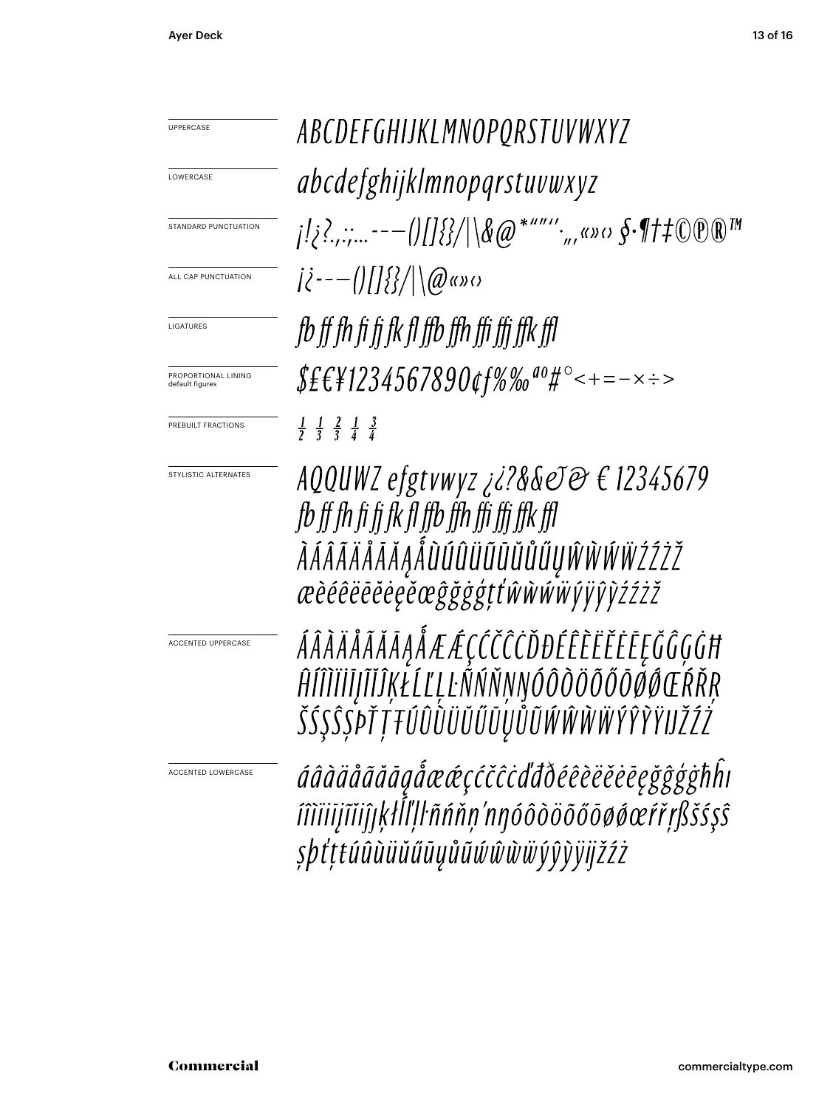| UPPERCASE                              | ABCDEFGHIJKLMNOPQRSTUVWXYZ                                                                                                                                 |
|----------------------------------------|------------------------------------------------------------------------------------------------------------------------------------------------------------|
| LOWERCASE                              | <i>abcdefghijklmnopqrstuvwxyz</i>                                                                                                                          |
| STANDARD PUNCTUATION                   | $1! \xi$ ?,.;---()[]{}/ \&@*""'',,«»<> $\oint$ -{ +#\@\\\\                                                                                                 |
| ALL CAP PUNCTUATION                    | $ \hat{\ell}^{---}()$ []{}}/ \@«»0                                                                                                                         |
| LIGATURES                              | fb ff fh fi fi fk fl ffb ffh ffi ffi ffk ffl                                                                                                               |
| PROPORTIONAL LINING<br>default figures | $$E$ £\{1234567890¢f%‰ <sup>ao</sup> #°<+=-×÷>                                                                                                             |
| PREBUILT FRACTIONS                     | $\frac{1}{2}$ $\frac{1}{3}$ $\frac{2}{3}$ $\frac{1}{4}$ $\frac{3}{4}$                                                                                      |
| STYLISTIC ALTERNATES                   | AQQUWZ efgtvwyz ¿¿?&&eJ@ € 12345679<br>fb ff fh fi fi fk fl ffb ffh ffi ffi ffk ffl<br><i>ÀÁÂÃÄÅÅĂĄÅÙÚÛÜŨŨŨŮŮŰŲŴŴŴŸŹŹŽ</i><br>æèéêëēĕėęěœĝğġģţťŵŵŵŵýÿŷỳźźż |
| <b>ACCENTED UPPERCASE</b>              | ÁÂÀÄÅÃĂĀĄÅÆÆÇĆČĈČĎĐÉÊÈËĔĔĘĞĜĢĠĦ<br>ĤĨĨĬĬĬĬĨĬĨĶŁĹĽĻĿÑŃŇŅŊÓÔŎŎŎŎŎØŒŔŘŖ<br>ŠŚŞŜȘPŤŢŦŰÛŨŬŬŬŨŲŮŨŴŴŴŴŶŶŶŸIJŽŹŻ                                                   |
| ACCENTED LOWERCASE                     | áâàäåãăāąåææçćčĉċďđðéêèëĕėēęğĝģġħĥı<br>íîìïiijĩiiĵŗķłĺľļŀñńňņ'nnóôòöõőōøøœŕřŗßšśşŝ<br>şþťțŧúûùüŭűūųůũŵŵŵẅýŷỳÿijžźż                                         |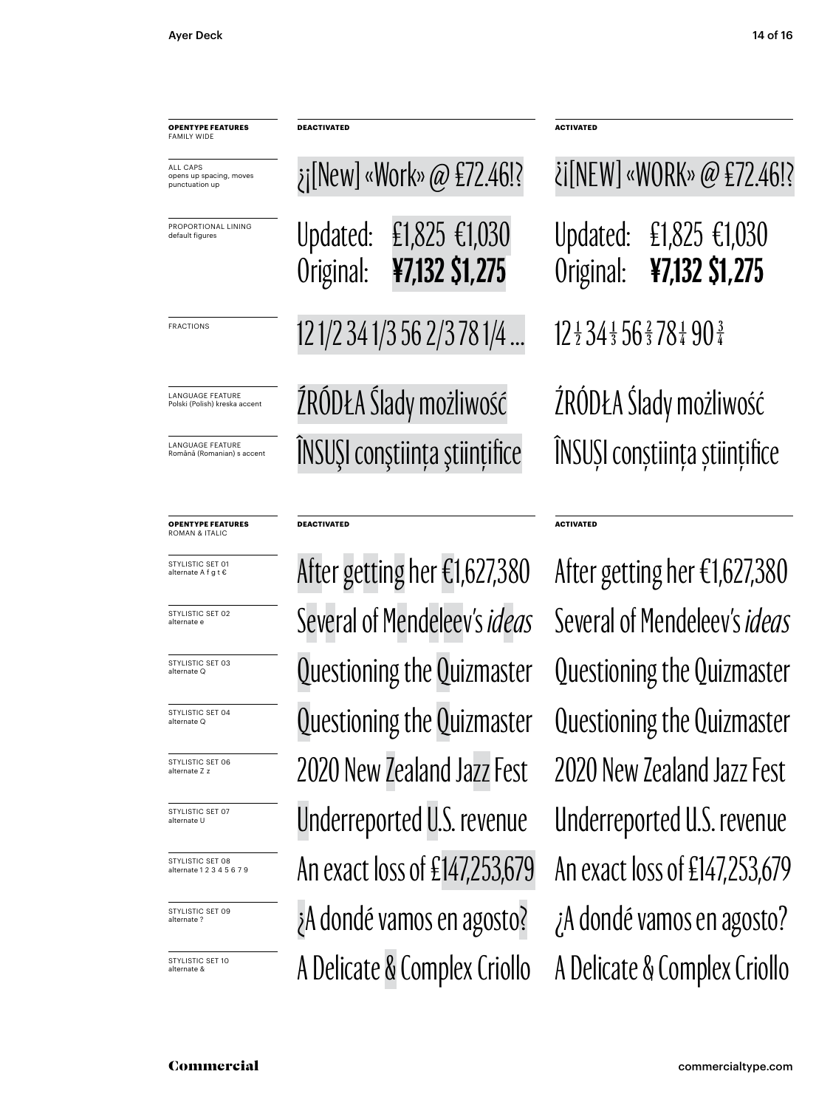PROPO default

LANGU. Polski (F

LANGU

ALL CA

| <b>OPENTYPE FEATURES</b><br>FAMILY WIDE                                                                           | <b>DEACTIVATED</b>                                      |                                 | <b>ACTIVATED</b>                                                    |                         |  |
|-------------------------------------------------------------------------------------------------------------------|---------------------------------------------------------|---------------------------------|---------------------------------------------------------------------|-------------------------|--|
| ALL CAPS<br>opens up spacing, moves<br>punctuation up                                                             |                                                         | ¿j[New] «Work» @ £72.46!?       |                                                                     | <i>i</i> [NEW] «WORK» @ |  |
| PROPORTIONAL LINING<br>default figures                                                                            | Updated:<br>Original:                                   | £1,825 €1,030<br>¥7,132 \$1,275 | Updated:<br>Original:                                               | £1,825 €<br>¥7,132 \$1  |  |
| <b>FRACTIONS</b>                                                                                                  | 12 1/2 34 1/3 56 2/3 78 1/4                             |                                 | $12\frac{1}{2}34\frac{1}{3}56\frac{2}{3}78\frac{1}{4}90\frac{3}{4}$ |                         |  |
| <b>LANGUAGE FEATURE</b><br>Polski (Polish) kreska accent<br><b>LANGUAGE FEATURE</b><br>Română (Romanian) s accent | ŹRÓDŁA Ślady możliwość<br>ÎNSUȘI conștiința științifice |                                 | ŹRÓDŁA Ślady możli<br>ÎNSUȘI conștiința ști                         |                         |  |
|                                                                                                                   |                                                         |                                 |                                                                     |                         |  |

#### **OPENTYPE FEATURES** ROMAN & ITALIC

STYLISTIC SET 01 alternate A f g t €

STYLISTIC SET 02

STYLISTIC SET 03 alternate Q

STYLISTIC SET 04 alternate Q

STYLISTIC SET 06 alternate Z z

STYLISTIC SET 07 alternate U

STYLISTIC SET 08 alternate 1 2 3 4 5 6 7 9

STYLISTIC SET 09 alternate ?

STYLISTIC SET 10

#### **DEACTIVATED ACTIVATED**

A Delicate & Complex Criollo A Delicate & Complex Criollo ¿A dondé vamos en agosto? ¿A dondé vamos en agosto? An exact loss of £147,253,679 An exact loss of £147,253,679 Underreported U.S. revenue Underreported U.S. revenue 2020 New Zealand Jazz Fest 2020 New Zealand Jazz Fest Questioning the Quizmaster Questioning the Quizmaster Questioning the Quizmaster alternate e Several of Mendeleev's *ideas* Several of Mendeleev's *ideas*

### 825 €1,030 Original: **¥7,132 \$1,275** :K» @ £72.46!? możliwość hța științifice

Questioning the Quizmaster After getting her €1,627,380 After getting her €1,627,380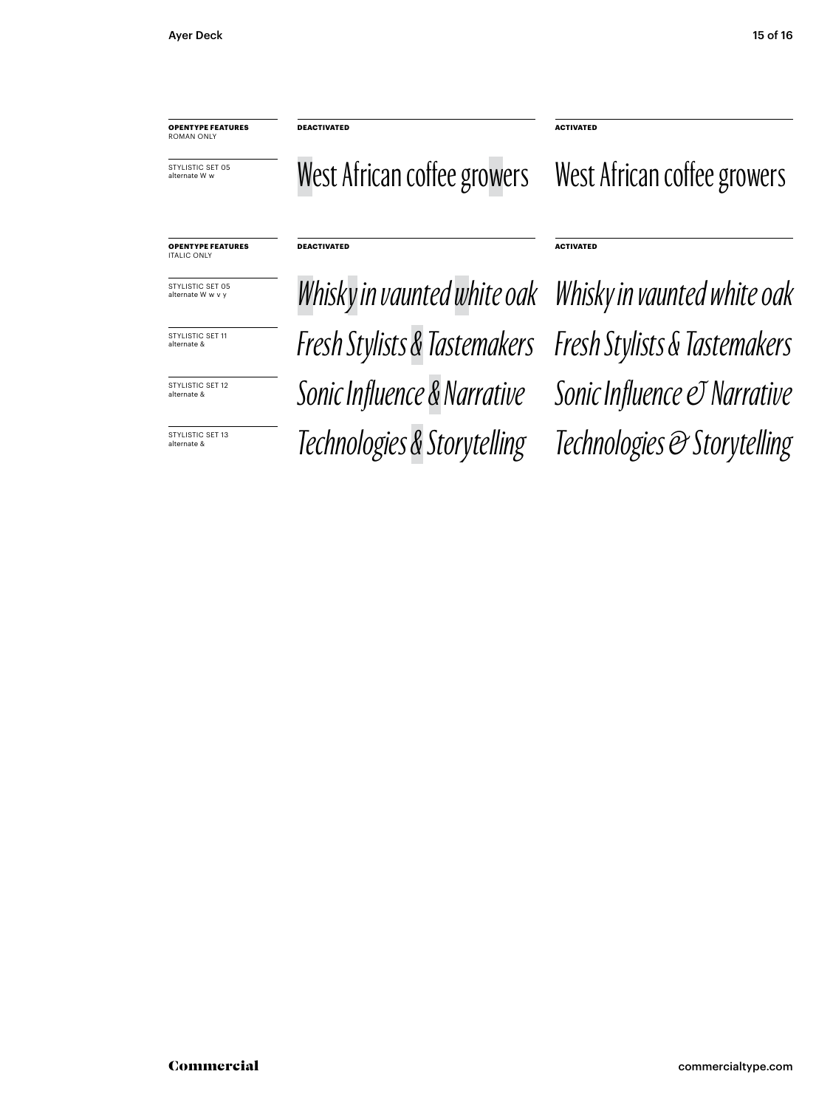**OPENTYPE FEATURES** ROMAN ONLY

STYLISTIC SET 05 alternate W w

#### West African coffee growers West African coffee growers

**DEACTIVATED ACTIVATED**

**DEACTIVATED ACTIVATED**

#### **OPENTYPE FEATURES** ITALIC ONLY

STYLISTIC SET 05<br>alternate W w v y

STYLISTIC SET 11 alternate &

alternate &

STYLISTIC SET 13<br>alternate &

*Fresh Stylists & Tastemakers Fresh Stylists & Tastemakers STYLISTIC SET 12* Sonic Influence & Narrative Sonic Influence © Narrative alternate & *Technologies & Storytelling Technologies & Storytelling* Whisky in vaunted white oak Whisky in vaunted white oak